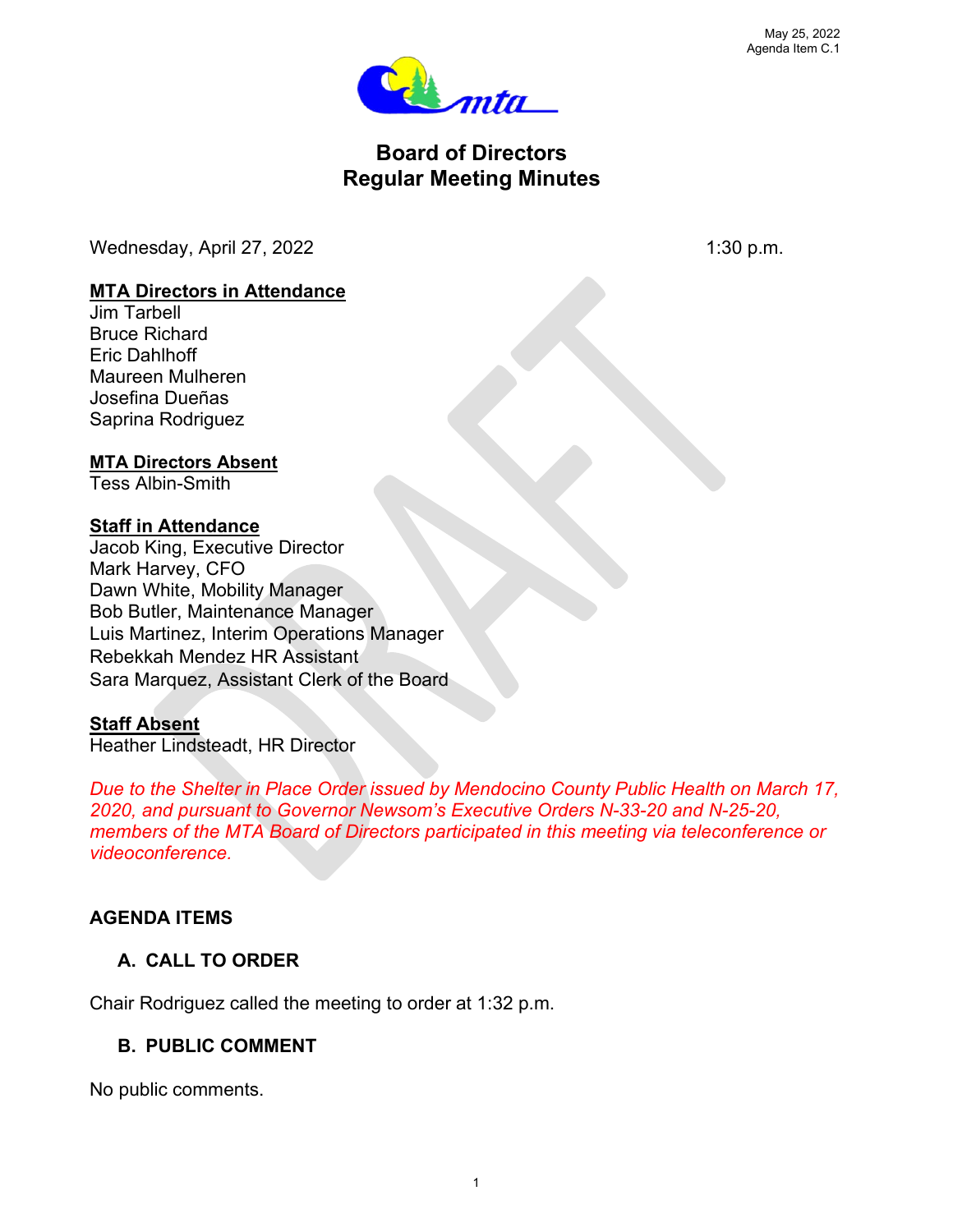

# **Board of Directors Regular Meeting Minutes**

Wednesday, April 27, 2022 1:30 p.m.

### **MTA Directors in Attendance**

Jim Tarbell Bruce Richard Eric Dahlhoff Maureen Mulheren Josefina Dueñas Saprina Rodriguez

#### **MTA Directors Absent**

Tess Albin-Smith

### **Staff in Attendance**

Jacob King, Executive Director Mark Harvey, CFO Dawn White, Mobility Manager Bob Butler, Maintenance Manager Luis Martinez, Interim Operations Manager Rebekkah Mendez HR Assistant Sara Marquez, Assistant Clerk of the Board

### **Staff Absent**

Heather Lindsteadt, HR Director

*Due to the Shelter in Place Order issued by Mendocino County Public Health on March 17, 2020, and pursuant to Governor Newsom's Executive Orders N-33-20 and N-25-20, members of the MTA Board of Directors participated in this meeting via teleconference or videoconference.*

### **AGENDA ITEMS**

### **A. CALL TO ORDER**

Chair Rodriguez called the meeting to order at 1:32 p.m.

### **B. PUBLIC COMMENT**

No public comments.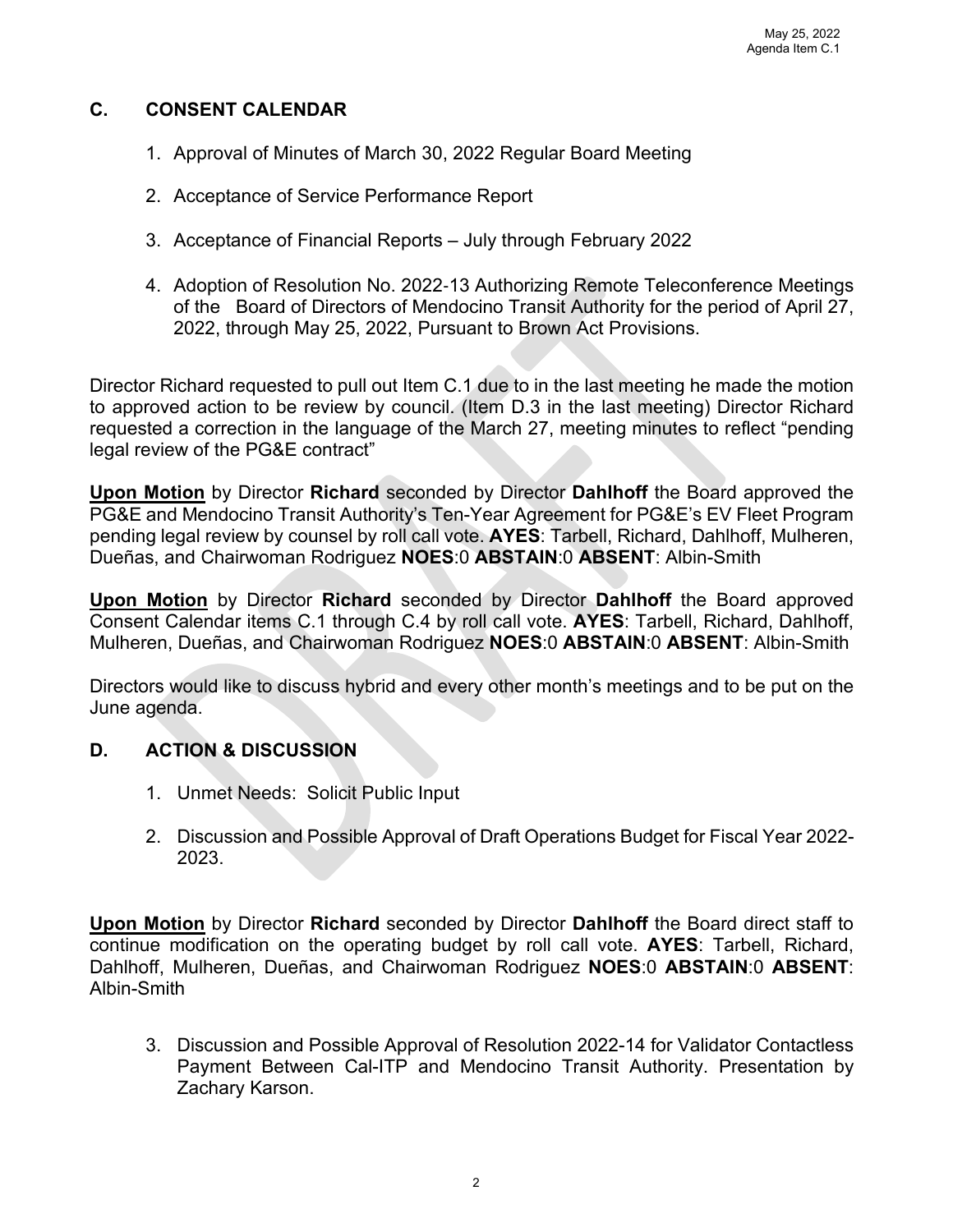#### **C. CONSENT CALENDAR**

- 1. Approval of Minutes of March 30, 2022 Regular Board Meeting
- 2. Acceptance of Service Performance Report
- 3. Acceptance of Financial Reports July through February 2022
- 4. Adoption of Resolution No. 2022‐13 Authorizing Remote Teleconference Meetings of the Board of Directors of Mendocino Transit Authority for the period of April 27, 2022, through May 25, 2022, Pursuant to Brown Act Provisions.

Director Richard requested to pull out Item C.1 due to in the last meeting he made the motion to approved action to be review by council. (Item D.3 in the last meeting) Director Richard requested a correction in the language of the March 27, meeting minutes to reflect "pending legal review of the PG&E contract"

**Upon Motion** by Director **Richard** seconded by Director **Dahlhoff** the Board approved the PG&E and Mendocino Transit Authority's Ten-Year Agreement for PG&E's EV Fleet Program pending legal review by counsel by roll call vote. **AYES**: Tarbell, Richard, Dahlhoff, Mulheren, Dueñas, and Chairwoman Rodriguez **NOES**:0 **ABSTAIN**:0 **ABSENT**: Albin-Smith

**Upon Motion** by Director **Richard** seconded by Director **Dahlhoff** the Board approved Consent Calendar items C.1 through C.4 by roll call vote. **AYES**: Tarbell, Richard, Dahlhoff, Mulheren, Dueñas, and Chairwoman Rodriguez **NOES**:0 **ABSTAIN**:0 **ABSENT**: Albin-Smith

Directors would like to discuss hybrid and every other month's meetings and to be put on the June agenda.

### **D. ACTION & DISCUSSION**

- 1. Unmet Needs: Solicit Public Input
- 2. Discussion and Possible Approval of Draft Operations Budget for Fiscal Year 2022- 2023.

**Upon Motion** by Director **Richard** seconded by Director **Dahlhoff** the Board direct staff to continue modification on the operating budget by roll call vote. **AYES**: Tarbell, Richard, Dahlhoff, Mulheren, Dueñas, and Chairwoman Rodriguez **NOES**:0 **ABSTAIN**:0 **ABSENT**: Albin-Smith

3. Discussion and Possible Approval of Resolution 2022-14 for Validator Contactless Payment Between Cal-ITP and Mendocino Transit Authority. Presentation by Zachary Karson.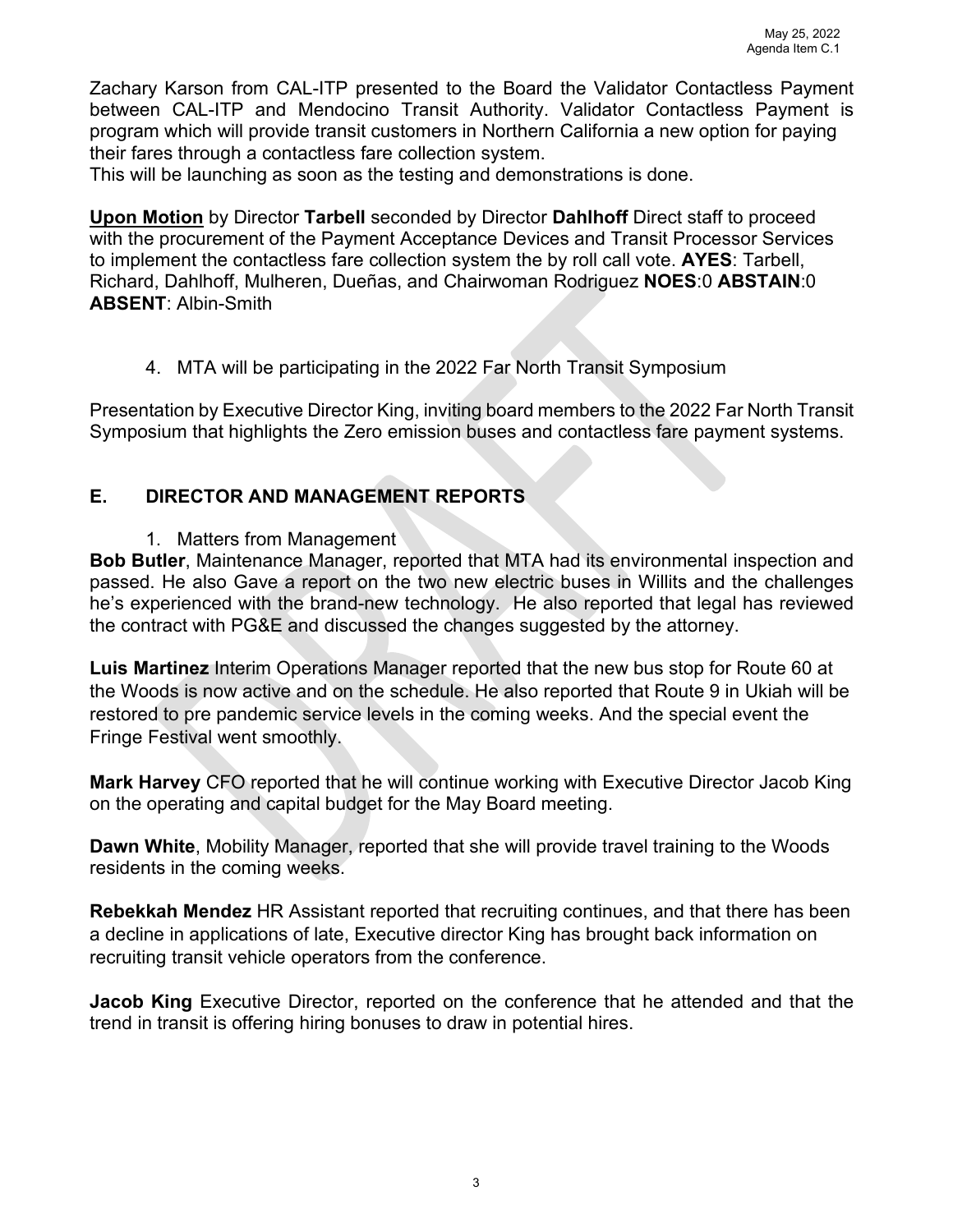Zachary Karson from CAL-ITP presented to the Board the Validator Contactless Payment between CAL-ITP and Mendocino Transit Authority. Validator Contactless Payment is program which will provide transit customers in Northern California a new option for paying their fares through a contactless fare collection system.

This will be launching as soon as the testing and demonstrations is done.

**Upon Motion** by Director **Tarbell** seconded by Director **Dahlhoff** Direct staff to proceed with the procurement of the Payment Acceptance Devices and Transit Processor Services to implement the contactless fare collection system the by roll call vote. **AYES**: Tarbell, Richard, Dahlhoff, Mulheren, Dueñas, and Chairwoman Rodriguez **NOES**:0 **ABSTAIN**:0 **ABSENT**: Albin-Smith

4. MTA will be participating in the 2022 Far North Transit Symposium

Presentation by Executive Director King, inviting board members to the 2022 Far North Transit Symposium that highlights the Zero emission buses and contactless fare payment systems.

## **E. DIRECTOR AND MANAGEMENT REPORTS**

1. Matters from Management

**Bob Butler**, Maintenance Manager, reported that MTA had its environmental inspection and passed. He also Gave a report on the two new electric buses in Willits and the challenges he's experienced with the brand-new technology. He also reported that legal has reviewed the contract with PG&E and discussed the changes suggested by the attorney.

**Luis Martinez** Interim Operations Manager reported that the new bus stop for Route 60 at the Woods is now active and on the schedule. He also reported that Route 9 in Ukiah will be restored to pre pandemic service levels in the coming weeks. And the special event the Fringe Festival went smoothly.

**Mark Harvey** CFO reported that he will continue working with Executive Director Jacob King on the operating and capital budget for the May Board meeting.

**Dawn White**, Mobility Manager, reported that she will provide travel training to the Woods residents in the coming weeks.

**Rebekkah Mendez** HR Assistant reported that recruiting continues, and that there has been a decline in applications of late, Executive director King has brought back information on recruiting transit vehicle operators from the conference.

**Jacob King** Executive Director, reported on the conference that he attended and that the trend in transit is offering hiring bonuses to draw in potential hires.